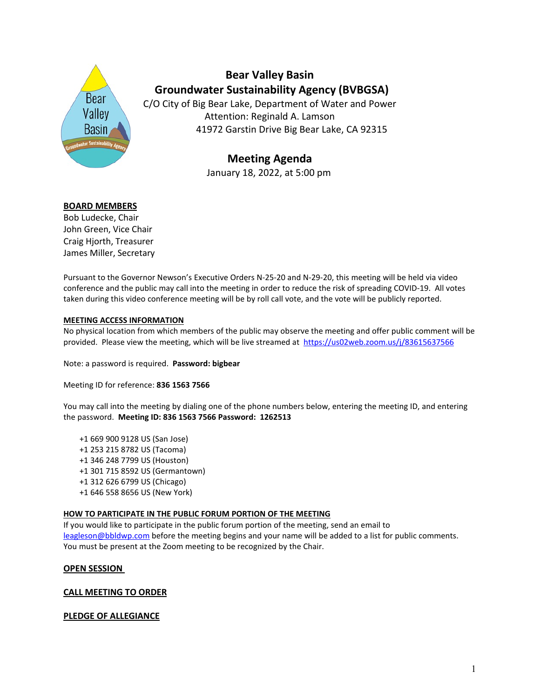

**Bear Valley Basin Groundwater Sustainability Agency (BVBGSA)**

C/O City of Big Bear Lake, Department of Water and Power Attention: Reginald A. Lamson 41972 Garstin Drive Big Bear Lake, CA 92315

# **Meeting Agenda** January 18, 2022, at 5:00 pm

### **BOARD MEMBERS**

Bob Ludecke, Chair John Green, Vice Chair Craig Hjorth, Treasurer James Miller, Secretary

Pursuant to the Governor Newson's Executive Orders N-25-20 and N-29-20, this meeting will be held via video conference and the public may call into the meeting in order to reduce the risk of spreading COVID-19. All votes taken during this video conference meeting will be by roll call vote, and the vote will be publicly reported.

#### **MEETING ACCESS INFORMATION**

No physical location from which members of the public may observe the meeting and offer public comment will be provided. Please view the meeting, which will be live streamed at <https://us02web.zoom.us/j/83615637566>

Note: a password is required. **Password: bigbear**

Meeting ID for reference: **836 1563 7566**

You may call into the meeting by dialing one of the phone numbers below, entering the meeting ID, and entering the password. **Meeting ID: 836 1563 7566 Password: 1262513**

- +1 669 900 9128 US (San Jose) +1 253 215 8782 US (Tacoma) +1 346 248 7799 US (Houston) +1 301 715 8592 US (Germantown) +1 312 626 6799 US (Chicago)
- +1 646 558 8656 US (New York)

#### **HOW TO PARTICIPATE IN THE PUBLIC FORUM PORTION OF THE MEETING**

If you would like to participate in the public forum portion of the meeting, send an email to [leagleson@bbldwp.com](mailto:leagleson@bbldwp.com) before the meeting begins and your name will be added to a list for public comments. You must be present at the Zoom meeting to be recognized by the Chair.

#### **OPEN SESSION**

### **CALL MEETING TO ORDER**

### **PLEDGE OF ALLEGIANCE**